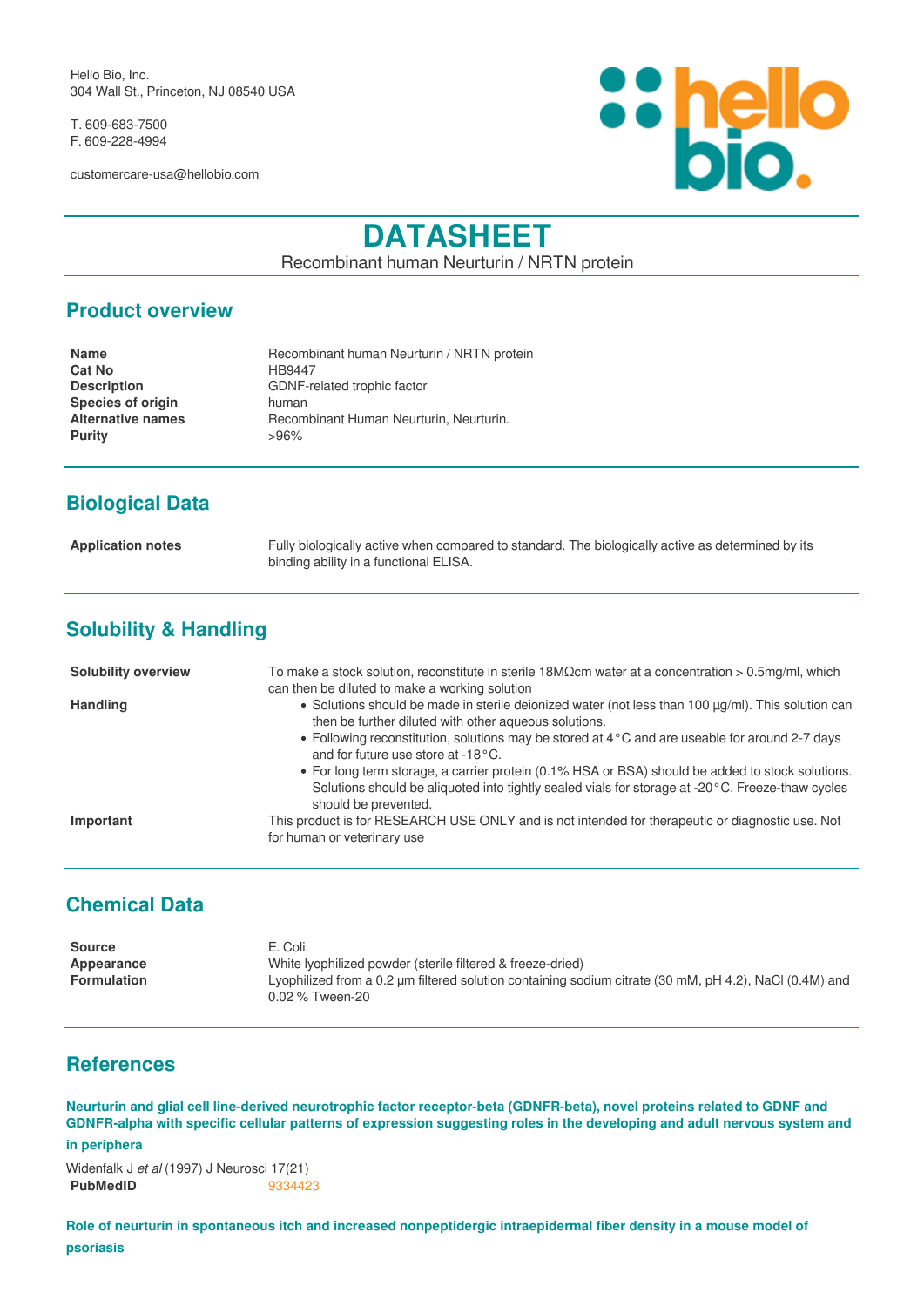Hello Bio, Inc. 304 Wall St., Princeton, NJ 08540 USA

T. 609-683-7500 F. 609-228-4994

customercare-usa@hellobio.com



# **DATASHEET**

Recombinant human Neurturin / NRTN protein

## **Product overview**

| <b>Name</b>              | Recombinant human Neurturin / NRTN protein |
|--------------------------|--------------------------------------------|
| <b>Cat No</b>            | HB9447                                     |
| <b>Description</b>       | GDNF-related trophic factor                |
| <b>Species of origin</b> | human                                      |
| <b>Alternative names</b> | Recombinant Human Neurturin, Neurturin,    |
| <b>Purity</b>            | $>96\%$                                    |
|                          |                                            |

# **Biological Data**

**Application notes** Fully biologically active when compared to standard. The biologically active as determined by its binding ability in a functional ELISA.

# **Solubility & Handling**

| <b>Solubility overview</b> | To make a stock solution, reconstitute in sterile 18M $\Omega$ cm water at a concentration > 0.5mg/ml, which                                                                                                                  |
|----------------------------|-------------------------------------------------------------------------------------------------------------------------------------------------------------------------------------------------------------------------------|
|                            | can then be diluted to make a working solution                                                                                                                                                                                |
| <b>Handling</b>            | • Solutions should be made in sterile deionized water (not less than 100 µg/ml). This solution can<br>then be further diluted with other aqueous solutions.                                                                   |
|                            | • Following reconstitution, solutions may be stored at 4 °C and are useable for around 2-7 days<br>and for future use store at -18°C.                                                                                         |
|                            | • For long term storage, a carrier protein (0.1% HSA or BSA) should be added to stock solutions.<br>Solutions should be aliguoted into tightly sealed vials for storage at -20 °C. Freeze-thaw cycles<br>should be prevented. |
| Important                  | This product is for RESEARCH USE ONLY and is not intended for therapeutic or diagnostic use. Not<br>for human or veterinary use                                                                                               |

# **Chemical Data**

| <b>Source</b>      | E. Coli.                                                                                               |
|--------------------|--------------------------------------------------------------------------------------------------------|
| Appearance         | White Ivophilized powder (sterile filtered & freeze-dried)                                             |
| <b>Formulation</b> | Lyophilized from a 0.2 µm filtered solution containing sodium citrate (30 mM, pH 4.2), NaCl (0.4M) and |
|                    | 0.02 % Tween-20                                                                                        |

## **References**

**Neurturin and glial cell line-derived neurotrophic factor receptor-beta (GDNFR-beta), novel proteins related to GDNF and GDNFR-alpha with specific cellular patterns of expression suggesting roles in the developing and adult nervous system and**

#### **in periphera**

Widenfalk J *et al* (1997) J Neurosci 17(21) **PubMedID** [9334423](https://www.ncbi.nlm.nih.gov/pubmed/9334423)

**Role of neurturin in spontaneous itch and increased nonpeptidergic intraepidermal fiber density in a mouse model of psoriasis**